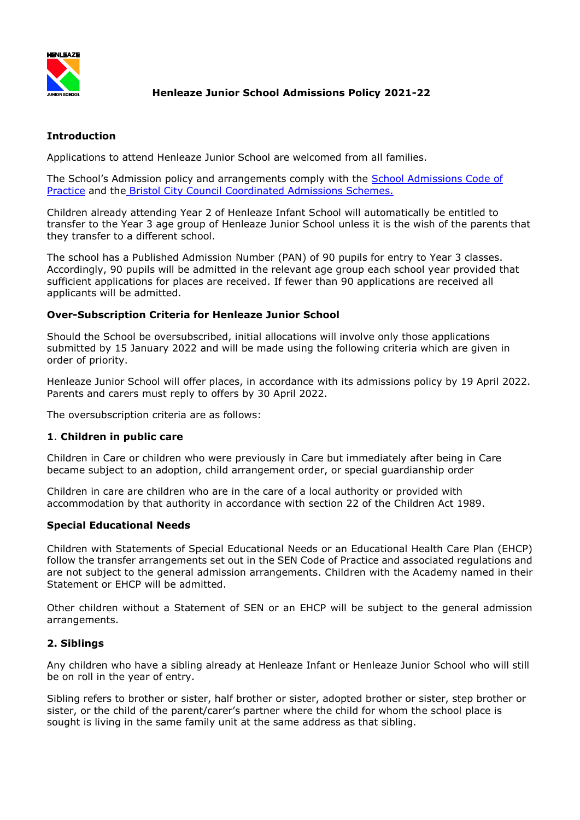

# **Henleaze Junior School Admissions Policy 2021-22**

### **Introduction**

Applications to attend Henleaze Junior School are welcomed from all families.

The School's Admission policy and arrangements comply with the [School Admissions Code of](file:///O:/Management/WP/Admissions/School%20Admissions%20Code/DRAFT%20School%20Admissions%20Code%202014/Revised_School_Admissions_Code_DRAFT_for_CU_fnl.pdf)  [Practice](file:///O:/Management/WP/Admissions/School%20Admissions%20Code/DRAFT%20School%20Admissions%20Code%202014/Revised_School_Admissions_Code_DRAFT_for_CU_fnl.pdf) and the [Bristol City Council Coordinated Admissions Schemes.](http://www.bristol.gov.uk/page/children-and-young-people/school-admissions)

Children already attending Year 2 of Henleaze Infant School will automatically be entitled to transfer to the Year 3 age group of Henleaze Junior School unless it is the wish of the parents that they transfer to a different school.

The school has a Published Admission Number (PAN) of 90 pupils for entry to Year 3 classes. Accordingly, 90 pupils will be admitted in the relevant age group each school year provided that sufficient applications for places are received. If fewer than 90 applications are received all applicants will be admitted.

### **Over-Subscription Criteria for Henleaze Junior School**

Should the School be oversubscribed, initial allocations will involve only those applications submitted by 15 January 2022 and will be made using the following criteria which are given in order of priority.

Henleaze Junior School will offer places, in accordance with its admissions policy by 19 April 2022. Parents and carers must reply to offers by 30 April 2022.

The oversubscription criteria are as follows:

### **1**. **Children in public care**

Children in Care or children who were previously in Care but immediately after being in Care became subject to an adoption, child arrangement order, or special guardianship order

Children in care are children who are in the care of a local authority or provided with accommodation by that authority in accordance with section 22 of the Children Act 1989.

### **Special Educational Needs**

Children with Statements of Special Educational Needs or an Educational Health Care Plan (EHCP) follow the transfer arrangements set out in the SEN Code of Practice and associated regulations and are not subject to the general admission arrangements. Children with the Academy named in their Statement or EHCP will be admitted.

Other children without a Statement of SEN or an EHCP will be subject to the general admission arrangements.

### **2. Siblings**

Any children who have a sibling already at Henleaze Infant or Henleaze Junior School who will still be on roll in the year of entry.

Sibling refers to brother or sister, half brother or sister, adopted brother or sister, step brother or sister, or the child of the parent/carer's partner where the child for whom the school place is sought is living in the same family unit at the same address as that sibling.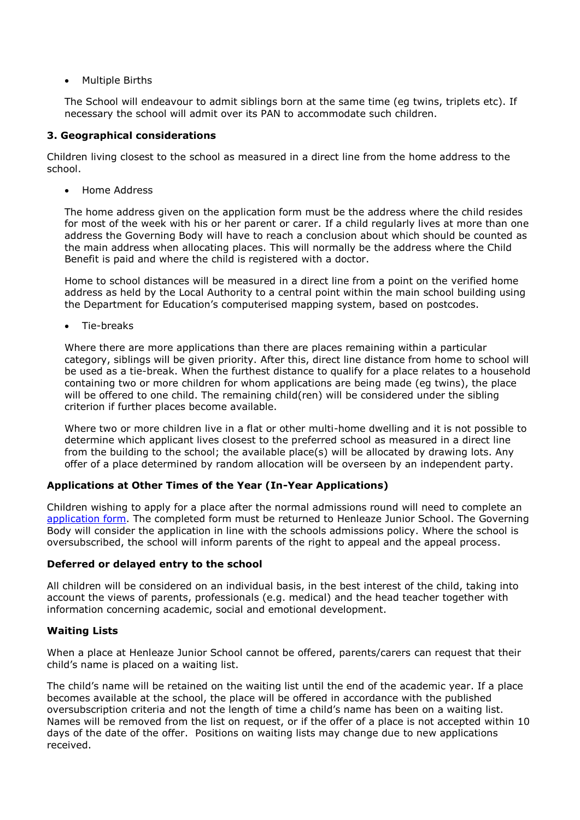• Multiple Births

The School will endeavour to admit siblings born at the same time (eg twins, triplets etc). If necessary the school will admit over its PAN to accommodate such children.

## **3. Geographical considerations**

Children living closest to the school as measured in a direct line from the home address to the school.

Home Address

The home address given on the application form must be the address where the child resides for most of the week with his or her parent or carer. If a child regularly lives at more than one address the Governing Body will have to reach a conclusion about which should be counted as the main address when allocating places. This will normally be the address where the Child Benefit is paid and where the child is registered with a doctor.

Home to school distances will be measured in a direct line from a point on the verified home address as held by the Local Authority to a central point within the main school building using the Department for Education's computerised mapping system, based on postcodes.

Tie-breaks

Where there are more applications than there are places remaining within a particular category, siblings will be given priority. After this, direct line distance from home to school will be used as a tie-break. When the furthest distance to qualify for a place relates to a household containing two or more children for whom applications are being made (eg twins), the place will be offered to one child. The remaining child(ren) will be considered under the sibling criterion if further places become available.

Where two or more children live in a flat or other multi-home dwelling and it is not possible to determine which applicant lives closest to the preferred school as measured in a direct line from the building to the school; the available place(s) will be allocated by drawing lots. Any offer of a place determined by random allocation will be overseen by an independent party.

# **Applications at Other Times of the Year (In-Year Applications)**

Children wishing to apply for a place after the normal admissions round will need to complete an [application form.](file://///admin/office%20shared/Management/WP/Admissions/Admission%20Application%20Form/Application%20for%20Admission%20HJS%20form%20v%20April%202016.pdf) The completed form must be returned to Henleaze Junior School. The Governing Body will consider the application in line with the schools admissions policy. Where the school is oversubscribed, the school will inform parents of the right to appeal and the appeal process.

### **Deferred or delayed entry to the school**

All children will be considered on an individual basis, in the best interest of the child, taking into account the views of parents, professionals (e.g. medical) and the head teacher together with information concerning academic, social and emotional development.

### **Waiting Lists**

When a place at Henleaze Junior School cannot be offered, parents/carers can request that their child's name is placed on a waiting list.

The child's name will be retained on the waiting list until the end of the academic year. If a place becomes available at the school, the place will be offered in accordance with the published oversubscription criteria and not the length of time a child's name has been on a waiting list. Names will be removed from the list on request, or if the offer of a place is not accepted within 10 days of the date of the offer. Positions on waiting lists may change due to new applications received.